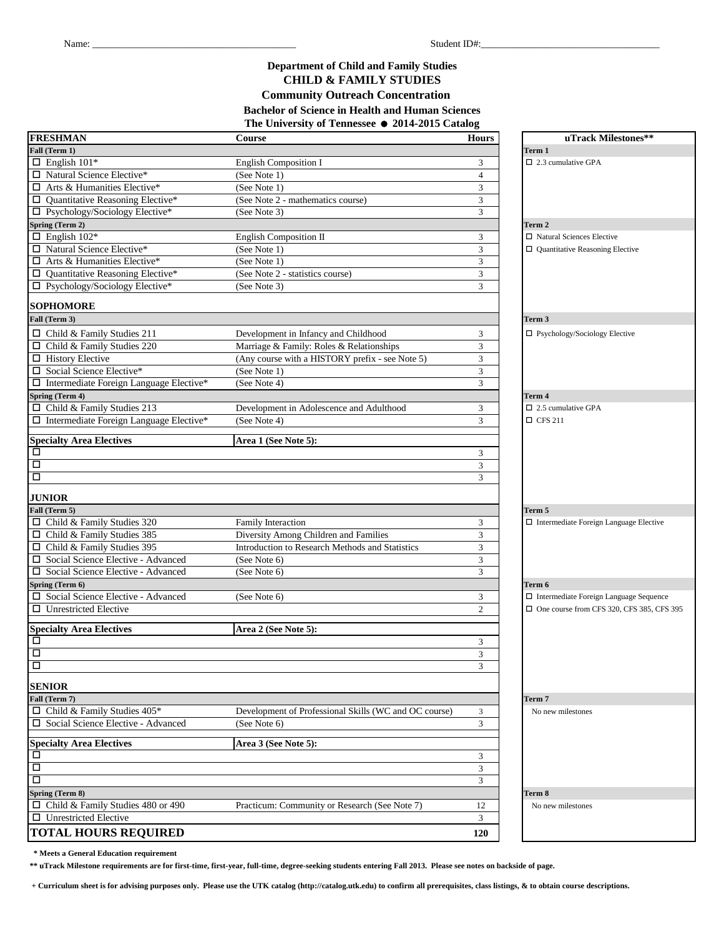#### **Community Outreach Concentration Department of Child and Family Studies CHILD & FAMILY STUDIES The University of Tennessee** = **2014-2015 Catalog Bachelor of Science in Health and Human Sciences**

| <b>FRESHMAN</b>                                | Course                                                | <b>Hours</b>   | uTrack Milestones**                              |
|------------------------------------------------|-------------------------------------------------------|----------------|--------------------------------------------------|
| Fall (Term 1)                                  |                                                       |                | Term 1                                           |
| $\Box$ English 101*                            | <b>English Composition I</b>                          | 3              | $\Box$ 2.3 cumulative GPA                        |
| □ Natural Science Elective*                    | (See Note 1)                                          | $\overline{4}$ |                                                  |
| $\Box$ Arts & Humanities Elective*             | (See Note 1)                                          | 3              |                                                  |
| $\Box$ Quantitative Reasoning Elective*        | (See Note 2 - mathematics course)                     | 3              |                                                  |
| □ Psychology/Sociology Elective*               | (See Note 3)                                          | 3              |                                                  |
| Spring (Term 2)                                |                                                       |                | Term 2                                           |
| $\Box$ English 102*                            | English Composition II                                | 3              | $\Box$ Natural Sciences Elective                 |
| $\Box$ Natural Science Elective*               | (See Note 1)                                          | 3              | $\Box$ Quantitative Reasoning Elective           |
| $\Box$ Arts & Humanities Elective*             | (See Note 1)                                          | 3              |                                                  |
| $\Box$ Quantitative Reasoning Elective*        | (See Note 2 - statistics course)                      | 3              |                                                  |
| □ Psychology/Sociology Elective*               | (See Note 3)                                          | 3              |                                                  |
| <b>SOPHOMORE</b>                               |                                                       |                |                                                  |
| Fall (Term 3)                                  |                                                       |                | Term 3                                           |
|                                                |                                                       |                |                                                  |
| $\Box$ Child & Family Studies 211              | Development in Infancy and Childhood                  | 3              | $\Box$ Psychology/Sociology Elective             |
| □ Child & Family Studies 220                   | Marriage & Family: Roles & Relationships              | 3              |                                                  |
| $\Box$ History Elective                        | (Any course with a HISTORY prefix - see Note 5)       | 3              |                                                  |
| □ Social Science Elective*                     | (See Note 1)                                          | 3              |                                                  |
| □ Intermediate Foreign Language Elective*      | (See Note 4)                                          | 3              |                                                  |
| Spring (Term 4)                                |                                                       |                | Term 4                                           |
| $\Box$ Child & Family Studies 213              | Development in Adolescence and Adulthood              | 3              | $\Box$ 2.5 cumulative GPA                        |
| $\Box$ Intermediate Foreign Language Elective* | (See Note 4)                                          | 3              | $\Box$ CFS 211                                   |
| <b>Specialty Area Electives</b>                | Area 1 (See Note 5):                                  |                |                                                  |
| $\Box$                                         |                                                       | 3              |                                                  |
| $\Box$                                         |                                                       | 3              |                                                  |
| $\Box$                                         |                                                       | 3              |                                                  |
|                                                |                                                       |                |                                                  |
| <b>JUNIOR</b>                                  |                                                       |                |                                                  |
| Fall (Term 5)                                  |                                                       |                | Term 5                                           |
| $\Box$ Child & Family Studies 320              | <b>Family Interaction</b>                             | 3              | $\Box$ Intermediate Foreign Language Elective    |
| □ Child & Family Studies 385                   | Diversity Among Children and Families                 | 3              |                                                  |
| $\Box$ Child & Family Studies 395              | Introduction to Research Methods and Statistics       | 3              |                                                  |
| □ Social Science Elective - Advanced           | (See Note 6)                                          | 3              |                                                  |
| □ Social Science Elective - Advanced           | (See Note 6)                                          | 3              |                                                  |
| Spring (Term 6)                                |                                                       |                | Term 6                                           |
| □ Social Science Elective - Advanced           | (See Note 6)                                          | 3              | $\Box$ Intermediate Foreign Language Sequence    |
| $\Box$ Unrestricted Elective                   |                                                       | $\overline{2}$ | $\Box$ One course from CFS 320, CFS 385, CFS 395 |
| <b>Specialty Area Electives</b>                | Area 2 (See Note 5):                                  |                |                                                  |
| $\Box$                                         |                                                       | 3              |                                                  |
| $\Box$                                         |                                                       | 3              |                                                  |
| 口                                              |                                                       | 3              |                                                  |
| <b>SENIOR</b>                                  |                                                       |                |                                                  |
| Fall (Term 7)                                  |                                                       |                | Term 7                                           |
| $\Box$ Child & Family Studies 405*             | Development of Professional Skills (WC and OC course) | 3              | No new milestones                                |
| □ Social Science Elective - Advanced           | (See Note 6)                                          | 3              |                                                  |
|                                                |                                                       |                |                                                  |
| <b>Specialty Area Electives</b>                | Area 3 (See Note 5):                                  |                |                                                  |
| 口                                              |                                                       | 3              |                                                  |
| $\boxed{\Box}$                                 |                                                       | $\mathfrak{Z}$ |                                                  |
| $\Box$                                         |                                                       | 3              |                                                  |
| Spring (Term 8)                                |                                                       |                | Term 8                                           |
| $\Box$ Child & Family Studies 480 or 490       | Practicum: Community or Research (See Note 7)         | 12             | No new milestones                                |
| □ Unrestricted Elective                        |                                                       | $\mathfrak{Z}$ |                                                  |
| <b>TOTAL HOURS REQUIRED</b>                    |                                                       | 120            |                                                  |
|                                                |                                                       |                |                                                  |

 **\* Meets a General Education requirement**

**\*\* uTrack Milestone requirements are for first-time, first-year, full-time, degree-seeking students entering Fall 2013. Please see notes on backside of page.**

 **+ Curriculum sheet is for advising purposes only. Please use the UTK catalog (http://catalog.utk.edu) to confirm all prerequisites, class listings, & to obtain course descriptions.**